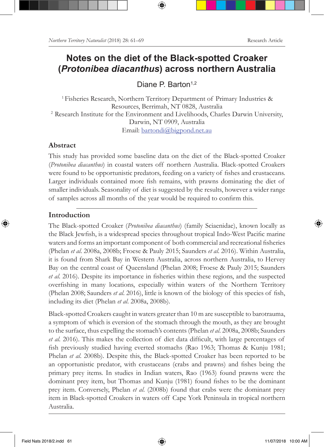# **Notes on the diet of the Black-spotted Croaker (***Protonibea diacanthus***) across northern Australia**

Diane P. Barton<sup>1,2</sup>

 1 Fisheries Research, Northern Territory Department of Primary Industries & Resources, Berrimah, NT 0828, Australia 2 Research Institute for the Environment and Livelihoods, Charles Darwin University, Darwin, NT 0909, Australia Email: bartondi@bigpond.net.au

## **Abstract**

This study has provided some baseline data on the diet of the Black-spotted Croaker (*Protonibea diacanthus*) in coastal waters off northern Australia. Black-spotted Croakers were found to be opportunistic predators, feeding on a variety of fishes and crustaceans. Larger individuals contained more fish remains, with prawns dominating the diet of smaller individuals. Seasonality of diet is suggested by the results, however a wider range of samples across all months of the year would be required to confirm this.

## **Introduction**

The Black-spotted Croaker (*Protonibea diacanthus*) (family Sciaenidae), known locally as the Black Jewfish, is a widespread species throughout tropical Indo-West Pacific marine waters and forms an important component of both commercial and recreational fisheries (Phelan *et al*. 2008a, 2008b; Froese & Pauly 2015; Saunders *et al*. 2016). Within Australia, it is found from Shark Bay in Western Australia, across northern Australia, to Hervey Bay on the central coast of Queensland (Phelan 2008; Froese & Pauly 2015; Saunders *et al*. 2016). Despite its importance in fisheries within these regions, and the suspected overfishing in many locations, especially within waters of the Northern Territory (Phelan 2008; Saunders *et al*. 2016), little is known of the biology of this species of fish, including its diet (Phelan *et al*. 2008a, 2008b).

Black-spotted Croakers caught in waters greater than 10 m are susceptible to barotrauma, a symptom of which is eversion of the stomach through the mouth, as they are brought to the surface, thus expelling the stomach's contents (Phelan *et al*. 2008a, 2008b; Saunders *et al*. 2016). This makes the collection of diet data difficult, with large percentages of fish previously studied having everted stomachs (Rao 1963; Thomas & Kunju 1981; Phelan *et al*. 2008b). Despite this, the Black-spotted Croaker has been reported to be an opportunistic predator, with crustaceans (crabs and prawns) and fishes being the primary prey items. In studies in Indian waters, Rao (1963) found prawns were the dominant prey item, but Thomas and Kunju (1981) found fishes to be the dominant prey item. Conversely, Phelan *et al*. (2008b) found that crabs were the dominant prey item in Black-spotted Croakers in waters off Cape York Peninsula in tropical northern Australia.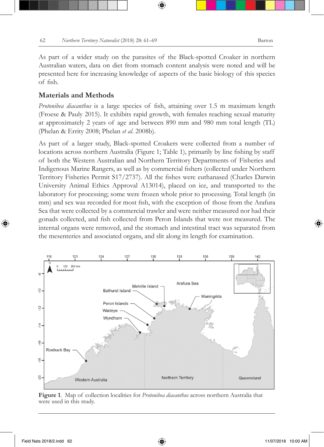As part of a wider study on the parasites of the Black-spotted Croaker in northern Australian waters, data on diet from stomach content analysis were noted and will be presented here for increasing knowledge of aspects of the basic biology of this species of fish.

#### **Materials and Methods**

*Protonibea diacanthus* is a large species of fish, attaining over 1.5 m maximum length (Froese & Pauly 2015). It exhibits rapid growth, with females reaching sexual maturity at approximately 2 years of age and between 890 mm and 980 mm total length (TL) (Phelan & Errity 2008; Phelan *et al*. 2008b).

As part of a larger study, Black-spotted Croakers were collected from a number of locations across northern Australia (Figure 1; Table 1), primarily by line fishing by staff of both the Western Australian and Northern Territory Departments of Fisheries and Indigenous Marine Rangers, as well as by commercial fishers (collected under Northern Territory Fisheries Permit S17/2737). All the fishes were euthanased (Charles Darwin University Animal Ethics Approval A13014), placed on ice, and transported to the laboratory for processing; some were frozen whole prior to processing. Total length (in mm) and sex was recorded for most fish, with the exception of those from the Arafura Sea that were collected by a commercial trawler and were neither measured nor had their gonads collected, and fish collected from Peron Islands that were not measured. The internal organs were removed, and the stomach and intestinal tract was separated from the mesenteries and associated organs, and slit along its length for examination.



**Figure 1**. Map of collection localities for *Protonibea diacanthus* across northern Australia that were used in this study.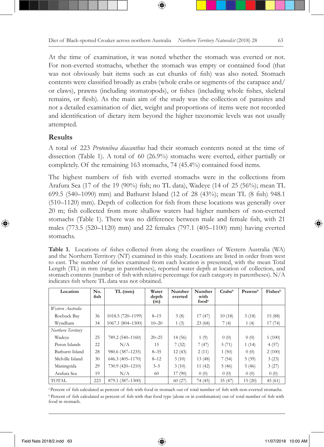At the time of examination, it was noted whether the stomach was everted or not. For non-everted stomachs, whether the stomach was empty or contained food (that was not obviously bait items such as cut chunks of fish) was also noted. Stomach contents were classified broadly as crabs (whole crabs or segments of the carapace and/ or claws), prawns (including stomatopods), or fishes (including whole fishes, skeletal remains, or flesh). As the main aim of the study was the collection of parasites and not a detailed examination of diet, weight and proportions of items were not recorded and identification of dietary item beyond the higher taxonomic levels was not usually attempted.

### **Results**

A total of 223 *Protonibea diacanthus* had their stomach contents noted at the time of dissection (Table 1). A total of 60 (26.9%) stomachs were everted, either partially or completely. Of the remaining 163 stomachs, 74 (45.4%) contained food items.

The highest numbers of fish with everted stomachs were in the collections from Arafura Sea (17 of the 19 (90%) fish; no TL data), Wadeye (14 of 25 (56%); mean TL 699.5 (540–1090) mm) and Bathurst Island (12 of 28 (43%); mean TL (8 fish) 948.1 (510–1120) mm). Depth of collection for fish from these locations was generally over 20 m; fish collected from more shallow waters had higher numbers of non-everted stomachs (Table 1). There was no difference between male and female fish, with 21 males (773.5 (520–1120) mm) and 22 females (797.1 (405–1100) mm) having everted stomachs.

**Table 1.** Locations of fishes collected from along the coastlines of Western Australia (WA) and the Northern Territory (NT) examined in this study. Locations are listed in order from west to east. The number of fishes examined from each location is presented, with the mean Total Length (TL) in mm (range in parentheses), reported water depth at location of collection, and stomach contents (number of fish with relative percentage for each category in parentheses). N/A indicates fish where TL data was not obtained.

| Location           | No.<br>fish | $TL$ (mm)         | Water<br>depth<br>(m) | Number<br>everted | Number<br>with<br>food <sup>a</sup> | Crabs <sup>b</sup> | Prawnsb | Fishesb |
|--------------------|-------------|-------------------|-----------------------|-------------------|-------------------------------------|--------------------|---------|---------|
| Western Australia  |             |                   |                       |                   |                                     |                    |         |         |
| Roebuck Bay        | 36          | 1018.5 (720-1199) | $8 - 15$              | 3(8)              | 17(47)                              | 10(18)             | 3(18)   | 15 (88) |
| Wyndham            | 34          | 1067.1 (804-1300) | $10 - 20$             | 1(3)              | 23(68)                              | 7(4)               | 1(4)    | 17(74)  |
| Northern Territory |             |                   |                       |                   |                                     |                    |         |         |
| Wadeve             | 25          | 789.2 (540-1160)  | $20 - 25$             | 14(56)            | 1(9)                                | 0(0)               | 0(0)    | 1(100)  |
| Peron Islands      | 22          | N/A               | 15                    | 7(32)             | 7(47)                               | 5(71)              | 1(14)   | 4(57)   |
| Bathurst Island    | 28          | 980.6 (387-1235)  | $8 - 35$              | 12(43)            | 2(11)                               | 1(50)              | 0(0)    | 2(100)  |
| Melville Island    | 30          | 646.3 (405-1170)  | $8 - 12$              | 3(10)             | 13(48)                              | 7(54)              | 5(39)   | 3(23)   |
| Maningrida         | 29          | 730.9 (420-1210)  | $3 - 5$               | 3(10)             | 11(42)                              | 5(46)              | 5(46)   | 3(27)   |
| Arafura Sea        | 19          | N/A               | 60                    | 17(90)            | 0(0)                                | 0(0)               | 0(0)    | 0(0)    |
| <b>TOTAL</b>       | 223         | 879.1 (387-1300)  |                       | 60(27)            | 74 (45)                             | 35(47)             | 15(20)  | 45(61)  |

<sup>a</sup>Percent of fish calculated as percent of fish with food in stomach out of total number of fish with non-everted stomachs. <sup>b</sup> Percent of fish calculated as percent of fish with that food type (alone or in combination) out of total number of fish with food in stomach.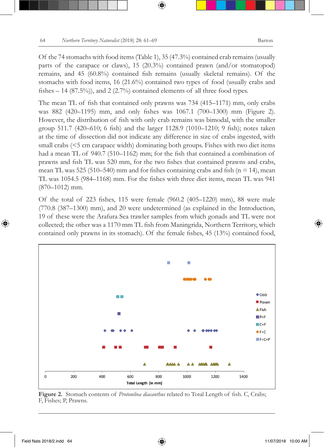Of the 74 stomachs with food items (Table 1), 35 (47.3%) contained crab remains (usually parts of the carapace or claws), 15 (20.3%) contained prawn (and/or stomatopod) remains, and 45 (60.8%) contained fish remains (usually skeletal remains). Of the stomachs with food items, 16 (21.6%) contained two types of food (usually crabs and fishes  $-14$  (87.5%)), and 2 (2.7%) contained elements of all three food types.

The mean TL of fish that contained only prawns was 734 (415–1171) mm, only crabs was 882 (420–1195) mm, and only fishes was 1067.1 (700–1300) mm (Figure 2). However, the distribution of fish with only crab remains was bimodal, with the smaller group 511.7 (420–610; 6 fish) and the larger 1128.9 (1010–1210; 9 fish); notes taken at the time of dissection did not indicate any difference in size of crabs ingested, with small crabs ( $\leq$ 5 cm carapace width) dominating both groups. Fishes with two diet items had a mean TL of 940.7 (510–1162) mm; for the fish that contained a combination of prawns and fish TL was 520 mm, for the two fishes that contained prawns and crabs, mean TL was 525 (510–540) mm and for fishes containing crabs and fish ( $n = 14$ ), mean TL was 1054.5 (984–1168) mm. For the fishes with three diet items, mean TL was 941 (870–1012) mm.

Of the total of 223 fishes, 115 were female (960.2 (405–1220) mm), 88 were male (770.8 (387–1300) mm), and 20 were undetermined (as explained in the Introduction, 19 of these were the Arafura Sea trawler samples from which gonads and TL were not collected; the other was a 1170 mm TL fish from Maningrida, Northern Territory, which contained only prawns in its stomach). Of the female fishes, 45 (13%) contained food,



**Figure 2.** Stomach contents of *Protonibea diacanthus* related to Total Length of fish. C, Crabs; F, Fishes; P, Prawns.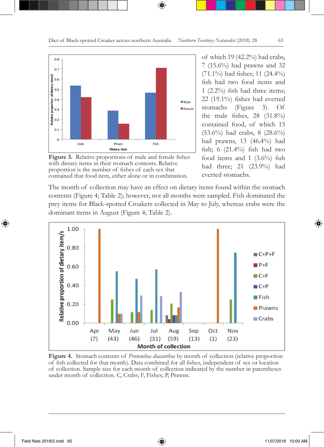

**Figure 3.** Relative proportions of male and female fishes with dietary items in their stomach contents. Relative proportion is the number of fishes of each sex that contained that food item, either alone or in combination.

of which 19 (42.2%) had crabs, 7 (15.6%) had prawns and 32 (71.1%) had fishes; 11 (24.4%) fish had two food items and 1 (2.2%) fish had three items; 22 (19.1%) fishes had everted stomachs (Figure 3). Of the male fishes, 28 (31.8%) contained food, of which 15 (53.6%) had crabs, 8 (28.6%) had prawns, 13 (46.4%) had fish; 6 (21.4%) fish had two food items and 1 (3.6%) fish had three; 21 (23.9%) had everted stomachs.

The month of collection may have an effect on dietary items found within the stomach contents (Figure 4; Table 2); however, not all months were sampled. Fish dominated the prey items for Black-spotted Croakers collected in May to July, whereas crabs were the dominant items in August (Figure 4; Table 2).



**Figure 4.** Stomach contents of *Protonibea diacanthus* by month of collection (relative proportion of fish collected for that month). Data combined for all fishes, independent of sex or location of collection. Sample size for each month of collection indicated by the number in parentheses under month of collection. C, Crabs; F, Fishes; P, Prawns.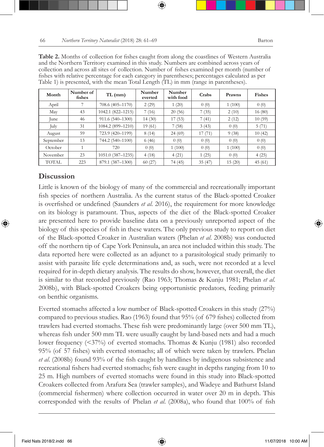| Month        | Number of<br>fishes | $TL$ (mm)         | Number<br>everted | Number<br>with food | Crabs  | Prawns | <b>Fishes</b> |
|--------------|---------------------|-------------------|-------------------|---------------------|--------|--------|---------------|
| April        |                     | 708.6 (405-1170)  | 2(29)             | 1(20)               | 0(0)   | 1(100) | 0(0)          |
| May          | 43                  | 1042.1 (822-1215) | 7(16)             | 20(56)              | 7(35)  | 2(10)  | 16(80)        |
| June         | 46                  | 911.6 (540-1300)  | 14(30)            | 17(53)              | 7 (41) | 2(12)  | 10(59)        |
| July         | 31                  | 1084.2 (899-1210) | 19(61)            | 7(58)               | 3(43)  | 0(0)   | 5(71)         |
| August       | 59                  | 723.9 (420-1199)  | 8(14)             | 24(69)              | 17(71) | 9(38)  | 10(42)        |
| September    | 13                  | 744.2 (540-1100)  | 6(46)             | 0(0)                | 0(0)   | 0(0)   | 0(0)          |
| October      |                     | 720               | 0(0)              | 1(100)              | 0(0)   | 1(100) | 0(0)          |
| November     | 23                  | 1051.0 (387-1235) | 4(18)             | 4(21)               | 1(25)  | 0(0)   | 4(25)         |
| <b>TOTAL</b> | 223                 | 879.1 (387-1300)  | 60(27)            | 74 (45)             | 35(47) | 15(20) | 45(61)        |

**Table 2.** Months of collection for fishes caught from along the coastlines of Western Australia and the Northern Territory examined in this study. Numbers are combined across years of collection and across all sites of collection. Number of fishes examined per month (number of fishes with relative percentage for each category in parentheses; percentages calculated as per Table 1) is presented, with the mean Total Length (TL) in mm (range in parentheses).

## **Discussion**

Little is known of the biology of many of the commercial and recreationally important fish species of northern Australia. As the current status of the Black-spotted Croaker is overfished or undefined (Saunders *et al*. 2016), the requirement for more knowledge on its biology is paramount. Thus, aspects of the diet of the Black-spotted Croaker are presented here to provide baseline data on a previously unreported aspect of the biology of this species of fish in these waters. The only previous study to report on diet of the Black-spotted Croaker in Australian waters (Phelan *et al*. 2008b) was conducted off the northern tip of Cape York Peninsula, an area not included within this study. The data reported here were collected as an adjunct to a parasitological study primarily to assist with parasite life cycle determinations and, as such, were not recorded at a level required for in-depth dietary analysis. The results do show, however, that overall, the diet is similar to that recorded previously (Rao 1963; Thomas & Kunju 1981; Phelan *et al*. 2008b), with Black-spotted Croakers being opportunistic predators, feeding primarily on benthic organisms.

Everted stomachs affected a low number of Black-spotted Croakers in this study (27%) compared to previous studies. Rao (1963) found that 95% (of 679 fishes) collected from trawlers had everted stomachs. These fish were predominantly large (over 500 mm TL), whereas fish under 500 mm TL were usually caught by land-based nets and had a much lower frequency (<37%) of everted stomachs. Thomas & Kunju (1981) also recorded 95% (of 57 fishes) with everted stomachs; all of which were taken by trawlers. Phelan *et al*. (2008b) found 93% of the fish caught by handlines by indigenous subsistence and recreational fishers had everted stomachs; fish were caught in depths ranging from 10 to 25 m. High numbers of everted stomachs were found in this study into Black-spotted Croakers collected from Arafura Sea (trawler samples), and Wadeye and Bathurst Island (commercial fishermen) where collection occurred in water over 20 m in depth. This corresponded with the results of Phelan *et al*. (2008a), who found that 100% of fish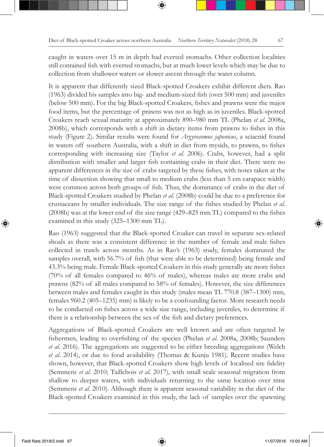caught in waters over 15 m in depth had everted stomachs. Other collection localities still contained fish with everted stomachs, but at much lower levels which may be due to collection from shallower waters or slower ascent through the water column.

It is apparent that differently sized Black-spotted Croakers exhibit different diets. Rao (1963) divided his samples into big- and medium-sized fish (over 500 mm) and juveniles (below 500 mm). For the big Black-spotted Croakers, fishes and prawns were the major food items, but the percentage of prawns was not as high as in juveniles. Black-spotted Croakers reach sexual maturity at approximately 890–980 mm TL (Phelan *et al*. 2008a, 2008b), which corresponds with a shift in dietary items from prawns to fishes in this study (Figure 2). Similar results were found for *Argyrosomus japonicus*, a sciaenid found in waters off southern Australia, with a shift in diet from mysids, to prawns, to fishes corresponding with increasing size (Taylor *et al*. 2006). Crabs, however, had a split distribution with smaller and larger fish containing crabs in their diet. There were no apparent differences in the size of crabs targeted by these fishes, with notes taken at the time of dissection showing that small to medium crabs (less than 5 cm carapace width) were common across both groups of fish. Thus, the dominance of crabs in the diet of Black-spotted Croakers studied by Phelan *et al*. (2008b) could be due to a preference for crustaceans by smaller individuals. The size range of the fishes studied by Phelan *et al.* (2008b) was at the lower end of the size range (429–825 mm TL) compared to the fishes examined in this study (325–1300 mm TL).

Rao (1963) suggested that the Black-spotted Croaker can travel in separate sex-related shoals as there was a consistent difference in the number of female and male fishes collected in trawls across months. As in Rao's (1963) study, females dominated the samples overall, with 56.7% of fish (that were able to be determined) being female and 43.3% being male. Female Black-spotted Croakers in this study generally ate more fishes (70% of all females compared to 46% of males), whereas males ate more crabs and prawns (82% of all males compared to 58% of females). However, the size differences between males and females caught in this study (males mean TL 770.8 (387–1300) mm, females 960.2 (405–1235) mm) is likely to be a confounding factor. More research needs to be conducted on fishes across a wide size range, including juveniles, to determine if there is a relationship between the sex of the fish and dietary preferences.

Aggregations of Black-spotted Croakers are well known and are often targeted by fishermen, leading to overfishing of the species (Phelan *et al*. 2008a, 2008b; Saunders *et al*. 2016). The aggregations are suggested to be either breeding aggregations (Welch *et al*. 2014), or due to food availability (Thomas & Kunju 1981). Recent studies have shown, however, that Black-spotted Croakers show high levels of localised site fidelity (Semmens *et al*. 2010; Taillebois *et al.* 2017), with small scale seasonal migration from shallow to deeper waters, with individuals returning to the same location over time (Semmens *et al.* 2010). Although there is apparent seasonal variability in the diet of the Black-spotted Croakers examined in this study, the lack of samples over the spawning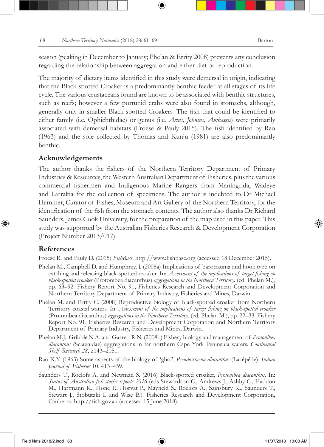season (peaking in December to January; Phelan & Errity 2008) prevents any conclusion regarding the relationship between aggregation and either diet or reproduction.

The majority of dietary items identified in this study were demersal in origin, indicating that the Black-spotted Croaker is a predominantly benthic feeder at all stages of its life cycle. The various crustaceans found are known to be associated with benthic structures, such as reefs; however a few portunid crabs were also found in stomachs, although, generally only in smaller Black-spotted Croakers. The fish that could be identified to either family (i.e. Ophichthidae) or genus (i.e. *Arius, Johnius, Ambassis*) were primarily associated with demersal habitats (Froese & Pauly 2015). The fish identified by Rao (1963) and the sole collected by Thomas and Kunju (1981) are also predominantly benthic.

#### **Acknowledgements**

The author thanks the fishers of the Northern Territory Department of Primary Industries & Resources, the Western Australian Department of Fisheries, plus the various commercial fishermen and Indigenous Marine Rangers from Maningrida, Wadeye and Larrakia for the collection of specimens. The author is indebted to Dr Michael Hammer, Curator of Fishes, Museum and Art Gallery of the Northern Territory, for the identification of the fish from the stomach contents. The author also thanks Dr Richard Saunders, James Cook University, for the preparation of the map used in this paper. This study was supported by the Australian Fisheries Research & Development Corporation (Project Number 2013/017).

### **References**

Froese R. and Pauly D. (2015) *FishBase*. http://www.fishbase.org (accessed 18 December 2015).

- Phelan M., Campbell D. and Humphrey, J. (2008a) Implications of barotrauma and hook type on catching and releasing black-spotted croaker. In: *Assessment of the implications of target fishing on black-spotted croaker* (Protonibea diacanthus) *aggregations in the Northern Territory.* (ed. Phelan M.), pp. 63–92. Fishery Report No. 91, Fisheries Research and Development Corporation and Northern Territory Department of Primary Industry, Fisheries and Mines, Darwin.
- Phelan M. and Errity C. (2008) Reproductive biology of black-spotted croaker from Northern Territory coastal waters. In: *Assessment of the implications of target fishing on black-spotted croaker*  (Protonibea diacanthus) *aggregations in the Northern Territory*. (ed. Phelan M.), pp. 22–33. Fishery Report No. 91, Fisheries Research and Development Corporation and Northern Territory Department of Primary Industry, Fisheries and Mines, Darwin.
- Phelan M.J., Gribble N.A. and Garrett R.N. (2008b) Fishery biology and management of *Protonibea diacanthus* (Sciaenidae) aggregations in far northern Cape York Peninsula waters. *Continental Shelf Research 28*, 2143–2151.
- Rao K.Y. (1963) Some aspects of the biology of 'ghol', *Pseudosciaena diacanthus* (Lacépéde). *Indian Journal of Fisheries* 10, 413–459.
- Saunders T., Roelofs A. and Newman S. (2016) Black-spotted croaker, *Protonibea diacanthus*. In: *Status of Australian fish stocks reports 2016* (eds Stewardson C., Andrews J., Ashby C., Haddon M., Hartmann K., Hone P., Horvat P., Mayfield S., Roelofs A., Sainsbury K., Saunders T., Stewart J., Stobutzki I. and Wise B.). Fisheries Research and Development Corporation, Canberra. http://fish.gov.au (accessed 15 June 2018).